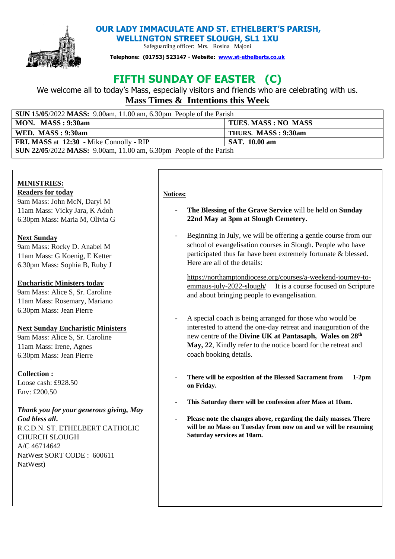

**OUR LADY IMMACULATE AND ST. ETHELBERT'S PARISH,** 

**WELLINGTON STREET SLOUGH, SL1 1XU**  Safeguarding officer: Mrs. Rosina Majoni

**Telephone: (01753) 523147 - Website: [www.st-ethelberts.co.uk](about:blank)**

# **FIFTH SUNDAY OF EASTER (C)**

We welcome all to today's Mass, especially visitors and friends who are celebrating with us. **Mass Times & Intentions this Week** 

| <b>SUN 15/05/2022 MASS:</b> 9.00am, 11.00 am, 6.30pm People of the Parish |                            |
|---------------------------------------------------------------------------|----------------------------|
| MON. MASS: 9:30am                                                         | <b>TUES. MASS: NO MASS</b> |
| WED. MASS: 9:30am                                                         | THURS. MASS: 9:30am        |
| <b>FRI. MASS at 12:30 - Mike Connolly - RIP</b>                           | <b>SAT.</b> 10.00 am       |
| SUN 22/05/2022 MASS: 9.00am, 11.00 am, 6.30pm People of the Parish        |                            |

# **MINISTRIES:**

**Readers for today** 

9am Mass: John McN, Daryl M 11am Mass: Vicky Jara, K Adoh 6.30pm Mass: Maria M, Olivia G

# **Next Sunday**

9am Mass: Rocky D. Anabel M 11am Mass: G Koenig, E Ketter 6.30pm Mass: Sophia B, Ruby J

# **Eucharistic Ministers today**

9am Mass: Alice S, Sr. Caroline 11am Mass: Rosemary, Mariano 6.30pm Mass: Jean Pierre

## **Next Sunday Eucharistic Ministers**

9am Mass: Alice S, Sr. Caroline 11am Mass: Irene, Agnes 6.30pm Mass: Jean Pierre

## **Collection :**

Loose cash: £928.50 Env: £200.50

*Thank you for your generous giving, May God bless all***.**  R.C.D.N. ST. ETHELBERT CATHOLIC CHURCH SLOUGH A/C 46714642 NatWest SORT CODE : 600611 NatWest)

## **Notices:**

- **The Blessing of the Grave Service** will be held on **Sunday 22nd May at 3pm at Slough Cemetery.**
- Beginning in July, we will be offering a gentle course from our school of evangelisation courses in Slough. People who have participated thus far have been extremely fortunate & blessed. Here are all of the details:

[https://northamptondiocese.org/courses/a-weekend-journey-to](https://northamptondiocese.org/courses/a-weekend-journey-to-emmaus-july-2022-slough/)[emmaus-july-2022-slough/](https://northamptondiocese.org/courses/a-weekend-journey-to-emmaus-july-2022-slough/) It is a course focused on Scripture and about bringing people to evangelisation.

- A special coach is being arranged for those who would be interested to attend the one-day retreat and inauguration of the new centre of the **Divine UK at Pantasaph, Wales on 28th May, 22**, Kindly refer to the notice board for the retreat and coach booking details.
- **There will be exposition of the Blessed Sacrament from 1-2pm on Friday.**
- **This Saturday there will be confession after Mass at 10am.**
- **Please note the changes above, regarding the daily masses. There will be no Mass on Tuesday from now on and we will be resuming Saturday services at 10am.**